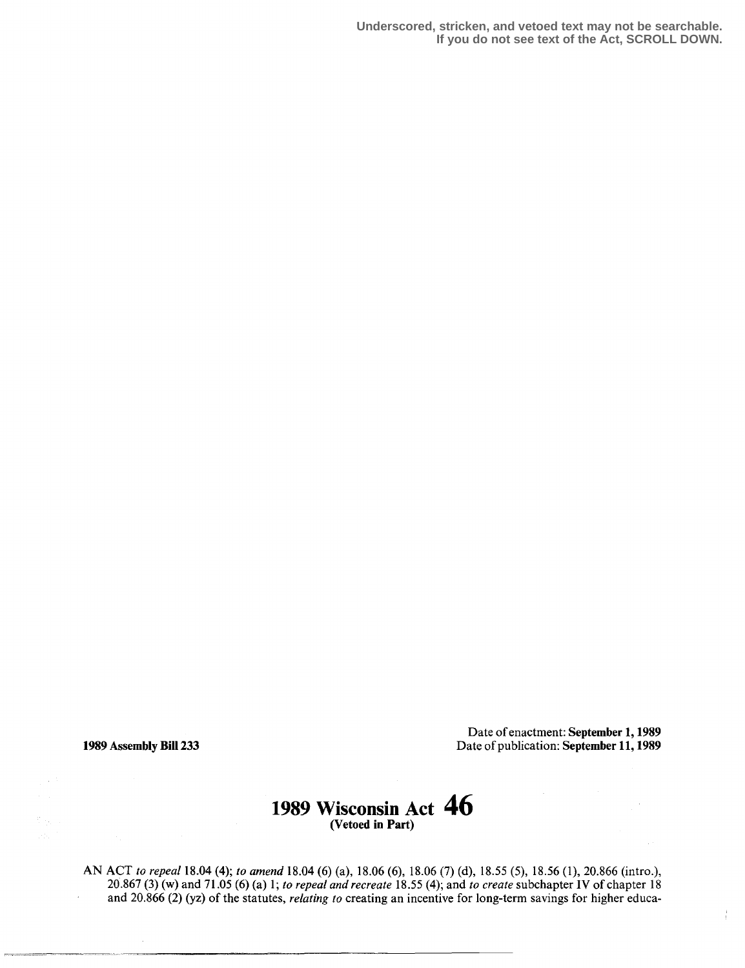**Underscored, stricken, and vetoed text may not be searchable. If you do not see text of the Act, SCROLL DOWN.**

Date of enactment: September 1, 1989 1989 Assembly Bill 233 Date of publication: September 11, 1989

 $\frac{1}{4}$ 

## 1989 Wisconsin Act  $\,$  46  $\,$  (Vetoed in Part)

AN ACT to repeal 18.04 (4); to amend 18.04 (6) (a), 18.06 (6), 18.06 (7) (d), 18.55 (5), 18.56 (1), 20.866 (intro.),  $20.867(3)$  (w) and  $71.05(6)$  (a) 1; to repeal and recreate 18.55 (4); and to create subchapter IV of chapter 18 and 20.866 (2) (yz) of the statutes, *relating to* creating an incentive for long-term savings for higher educa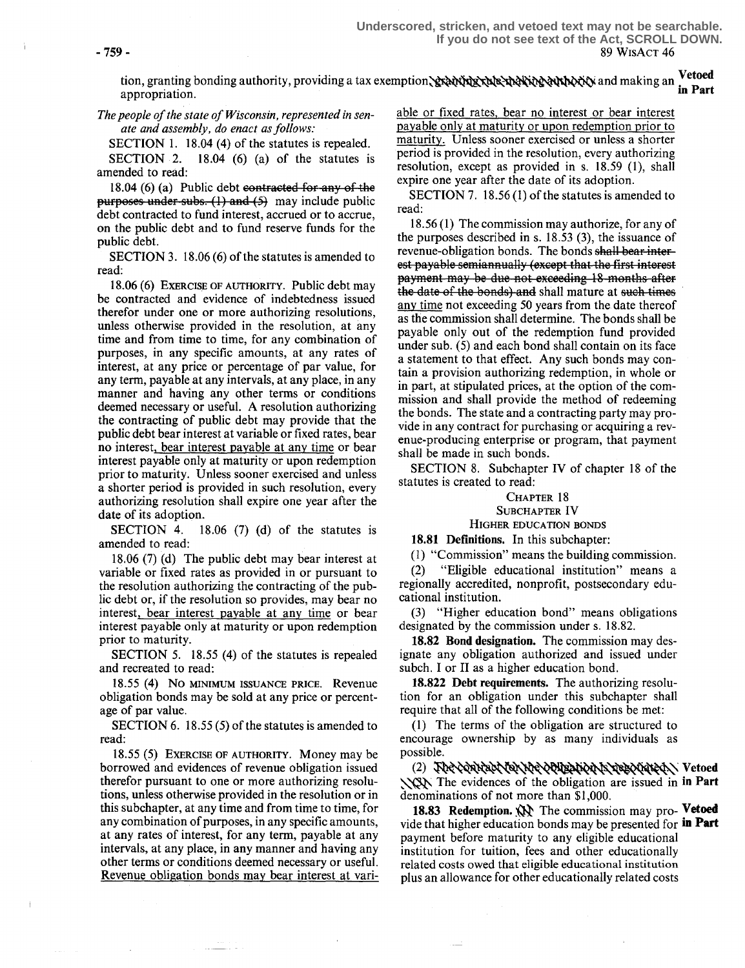-759- 89 WisAcT 46 **Underscored, stricken, and vetoed text may not be searchable. If you do not see text of the Act, SCROLL DOWN.**

tion, granting bonding authority, providing a tax exemption'and making an Vetoed appropriation. m Part

The people of the state of Wisconsin, represented in senate and assembly, do enact as follows.

SECTION 1. 18.04 (4) of the statutes is repealed.<br>SECTION 2. 18.04 (6) (a) of the statutes is  $18.04$  (6) (a) of the statutes is amended to read:

18.04  $(6)$  (a) Public debt contracted for any of the  $p$ urposes under subs.  $(1)$  and  $(5)$  may include public debt contracted to fund interest, accrued or to accrue, on the public debt and to fund reserve funds for the public debt.

SECTION 3. 18.06 (6) of the statutes is amended to read:

18.06 (6) EXERCISE OF AUTHORITY. Public debt may be contracted and evidence of indebtedness issued therefor under one or more authorizing resolutions, unless otherwise provided in the resolution, at any time and from time to time, for any combination of purposes, in any specific amounts, at any rates of interest, at any price or percentage of par value, for any term, payable at any intervals, at any place, in any manner and having any other terms or conditions deemed necessary or useful. A resolution authorizing the contracting of public debt may provide that the public debt bear interest at variable or fixed rates, bear no interest, bear interest payable at any time or bear interest payable only at maturity or upon redemption prior to maturity. Unless sooner exercised and unless a shorter period is provided in such resolution, every authorizing resolution shall expire one year after the date of its adoption.<br>SECTION 4. 1.

 $18.06$  (7) (d) of the statutes is amended to read:

<sup>18</sup> .06 (7) (d) The public debt may bear interest at variable or fixed rates as provided in or pursuant to the resolution authorizing the contracting of the public debt or, if the resolution so provides, may bear no interest, bear interest payable at any time or bear interest payable only at maturity or upon redemption prior to maturity.

SECTION 5. 18.55 (4) of the statutes is repealed and recreated to read:

18.55 (4) NO MINIMUM ISSUANCE PRICE. Revenue obligation bonds may be sold at any price or percentage of par value.

SECTION 6. 18.55 (5) of the statutes is amended to read:

<sup>18</sup> .55 (5) EXERCISE OF AUTHORITY. Money may be borrowed and evidences of revenue obligation issued therefor pursuant to one or more authorizing resolutions, unless otherwise provided in the resolution or in this subchapter, at any time and from time to time, for any combination of purposes, in any specific amounts, at any rates of interest, for any term, payable at any intervals, at any place, in any manner and having any other terms or conditions deemed necessary or useful . Revenue obligation bonds may bear interest at variable or fixed rates, bear no interest or bear interest payable only at maturity or upon redemption prior to maturity. Unless sooner exercised or unless a shorter period is provided in the resolution, every authorizing resolution, except as provided in s. 18 .59 (1), shall expire one year after the date of its adoption.

SECTION 7. 18.56 (1) of the statutes is amended to read:

<sup>18</sup> .56 (1) The commission may authorize, for any of the purposes described in s. 18 .53 (3), the issuance of revenue-obligation bonds. The bonds shall bear-interest payable semiannually (except that the first interest payment may be due not exceeding 18 months after the date of the bonds) and shall mature at such times any time not exceeding 50 years from the date thereof as the commission shall determine. The bonds shall be payable only out of the redemption fund provided under sub. (5) and each bond shall contain on its face a statement to that effect. Any such bonds may contain a provision authorizing redemption, in whole or in part, at stipulated prices, at the option of the commission and shall provide the method of redeeming the bonds. The state and a contracting party may provide in any contract for purchasing or acquiring a revenue-producing enterprise or program, that payment shall be made in such bonds.

SECTION 8. Subchapter IV of chapter 18 of the statutes is created to read:

> HIGHER EDUCATION BONDS CHAPTER 18 SUBCHAPTER IV

18.81 Definitions. In this subchapter:

(1) "Commission" means the building commission.<br>(2) "Eligible educational institution" means a "Eligible educational institution" means a regionally accredited, nonprofit, postsecondary educational institution.

(3) "Higher education bond" means obligations designated by the commission under s. 18 .82.

18.82 Bond designation. The commission may designate any obligation authorized and issued under subch. I or II as a higher education bond.

18.822 Debt requirements. The authorizing resolution for an obligation under this subchapter shall require that all of the following conditions be met:

(1) The terms of the obligation are structured to encourage ownership by as many individuals as possible .

(2) JOR CONTACTOR NE CONSANO A RESOUTED. Vetoed  $\sqrt{3}$ . The evidences of the obligation are issued in in Part denominations of not more than \$1,000.

18.83 Redemption.  $\mathbb{N}$  The commission may pro-Vetoed vide that higher education bonds may be presented for in Part payment before maturity to any eligible educational institution for tuition, fees and other educationally related costs owed that eligible educational institution plus an allowance for other educationally related costs